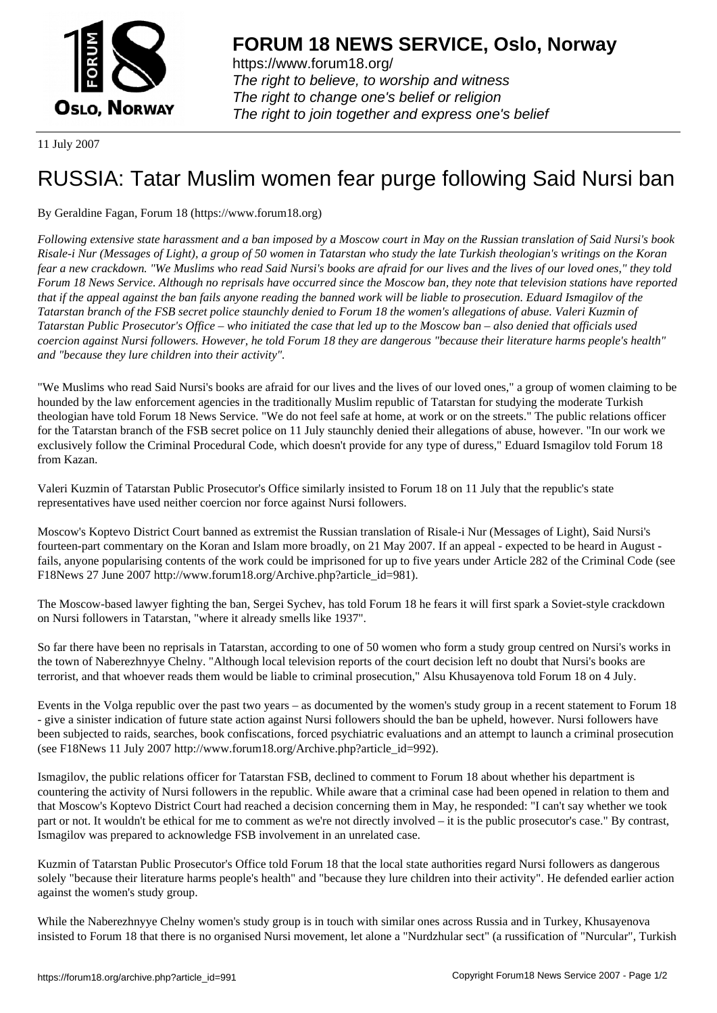

https://www.forum18.org/ The right to believe, to worship and witness The right to change one's belief or religion [The right to join together a](https://www.forum18.org/)nd express one's belief

11 July 2007

## [RUSSIA: Tatar](https://www.forum18.org) Muslim women fear purge following Said Nursi ban

## By Geraldine Fagan, Forum 18 (https://www.forum18.org)

*Following extensive state harassment and a ban imposed by a Moscow court in May on the Russian translation of Said Nursi's book Risale-i Nur (Messages of Light), a group of 50 women in Tatarstan who study the late Turkish theologian's writings on the Koran fear a new crackdown. "We Muslims who read Said Nursi's books are afraid for our lives and the lives of our loved ones," they told Forum 18 News Service. Although no reprisals have occurred since the Moscow ban, they note that television stations have reported that if the appeal against the ban fails anyone reading the banned work will be liable to prosecution. Eduard Ismagilov of the Tatarstan branch of the FSB secret police staunchly denied to Forum 18 the women's allegations of abuse. Valeri Kuzmin of Tatarstan Public Prosecutor's Office – who initiated the case that led up to the Moscow ban – also denied that officials used coercion against Nursi followers. However, he told Forum 18 they are dangerous "because their literature harms people's health" and "because they lure children into their activity".*

"We Muslims who read Said Nursi's books are afraid for our lives and the lives of our loved ones," a group of women claiming to be hounded by the law enforcement agencies in the traditionally Muslim republic of Tatarstan for studying the moderate Turkish theologian have told Forum 18 News Service. "We do not feel safe at home, at work or on the streets." The public relations officer for the Tatarstan branch of the FSB secret police on 11 July staunchly denied their allegations of abuse, however. "In our work we exclusively follow the Criminal Procedural Code, which doesn't provide for any type of duress," Eduard Ismagilov told Forum 18 from Kazan.

Valeri Kuzmin of Tatarstan Public Prosecutor's Office similarly insisted to Forum 18 on 11 July that the republic's state representatives have used neither coercion nor force against Nursi followers.

Moscow's Koptevo District Court banned as extremist the Russian translation of Risale-i Nur (Messages of Light), Said Nursi's fourteen-part commentary on the Koran and Islam more broadly, on 21 May 2007. If an appeal - expected to be heard in August fails, anyone popularising contents of the work could be imprisoned for up to five years under Article 282 of the Criminal Code (see F18News 27 June 2007 http://www.forum18.org/Archive.php?article\_id=981).

The Moscow-based lawyer fighting the ban, Sergei Sychev, has told Forum 18 he fears it will first spark a Soviet-style crackdown on Nursi followers in Tatarstan, "where it already smells like 1937".

So far there have been no reprisals in Tatarstan, according to one of 50 women who form a study group centred on Nursi's works in the town of Naberezhnyye Chelny. "Although local television reports of the court decision left no doubt that Nursi's books are terrorist, and that whoever reads them would be liable to criminal prosecution," Alsu Khusayenova told Forum 18 on 4 July.

Events in the Volga republic over the past two years – as documented by the women's study group in a recent statement to Forum 18 - give a sinister indication of future state action against Nursi followers should the ban be upheld, however. Nursi followers have been subjected to raids, searches, book confiscations, forced psychiatric evaluations and an attempt to launch a criminal prosecution (see F18News 11 July 2007 http://www.forum18.org/Archive.php?article\_id=992).

Ismagilov, the public relations officer for Tatarstan FSB, declined to comment to Forum 18 about whether his department is countering the activity of Nursi followers in the republic. While aware that a criminal case had been opened in relation to them and that Moscow's Koptevo District Court had reached a decision concerning them in May, he responded: "I can't say whether we took part or not. It wouldn't be ethical for me to comment as we're not directly involved – it is the public prosecutor's case." By contrast, Ismagilov was prepared to acknowledge FSB involvement in an unrelated case.

Kuzmin of Tatarstan Public Prosecutor's Office told Forum 18 that the local state authorities regard Nursi followers as dangerous solely "because their literature harms people's health" and "because they lure children into their activity". He defended earlier action against the women's study group.

While the Naberezhnyye Chelny women's study group is in touch with similar ones across Russia and in Turkey, Khusayenova insisted to Forum 18 that there is no organised Nursi movement, let alone a "Nurdzhular sect" (a russification of "Nurcular", Turkish